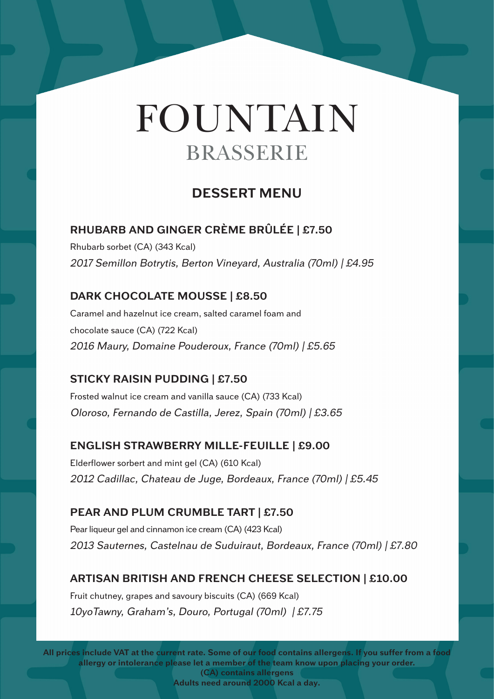# FOUNTAIN BRASSERIE

### **DESSERT MENU**

### **RHUBARB AND GINGER CRÈME BRÛLÉE | £7.50**

Rhubarb sorbet (CA) (343 Kcal) 2017 Semillon Botrytis, Berton Vineyard, Australia (70ml) | £4.95

### **DARK CHOCOLATE MOUSSE | £8.50**

Caramel and hazelnut ice cream, salted caramel foam and chocolate sauce (CA) (722 Kcal) 2016 Maury, Domaine Pouderoux, France (70ml) | £5.65

### **STICKY RAISIN PUDDING | £7.50**

Frosted walnut ice cream and vanilla sauce (CA) (733 Kcal) Oloroso, Fernando de Castilla, Jerez, Spain (70ml) | £3.65

### **ENGLISH STRAWBERRY MILLE-FEUILLE | £9.00**

Elderflower sorbert and mint gel (CA) (610 Kcal) 2012 Cadillac, Chateau de Juge, Bordeaux, France (70ml) | £5.45

### **PEAR AND PLUM CRUMBLE TART | £7.50**

Pear liqueur gel and cinnamon ice cream (CA) (423 Kcal) 2013 Sauternes, Castelnau de Suduiraut, Bordeaux, France (70ml) | £7.80

### **ARTISAN BRITISH AND FRENCH CHEESE SELECTION | £10.00**

Fruit chutney, grapes and savoury biscuits (CA) (669 Kcal) 10yoTawny, Graham's, Douro, Portugal (70ml) | £7.75

**All prices include VAT at the current rate. Some of our food contains allergens. If you suffer from a food allergy or intolerance please let a member of the team know upon placing your order. (CA) contains allergens**

**Adults need around 2000 Kcal a day.**